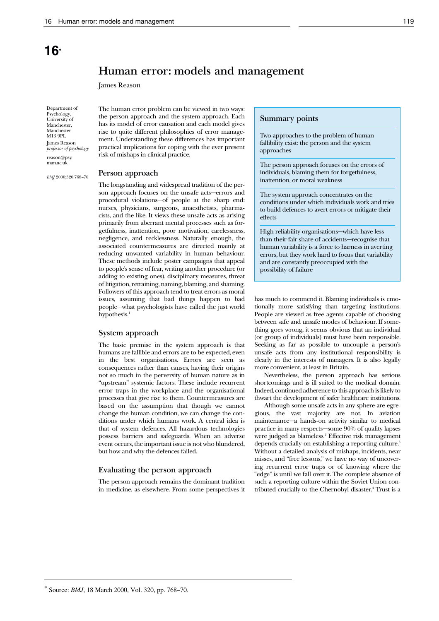# **16\***

# **Human error: models and management**

#### James Reason

**Person approach**

Department of Psychology, University of Manchester, Manchester M13 9PL James Reason *professor of psychology* reason@psy. man.ac.uk

*BMJ* 2000;320:768–70

# rise to quite different philosophies of error management. Understanding these differences has important practical implications for coping with the ever present risk of mishaps in clinical practice.

The human error problem can be viewed in two ways: the person approach and the system approach. Each has its model of error causation and each model gives

The longstanding and widespread tradition of the person approach focuses on the unsafe acts—errors and procedural violations—of people at the sharp end: nurses, physicians, surgeons, anaesthetists, pharmacists, and the like. It views these unsafe acts as arising primarily from aberrant mental processes such as forgetfulness, inattention, poor motivation, carelessness, negligence, and recklessness. Naturally enough, the associated countermeasures are directed mainly at reducing unwanted variability in human behaviour. These methods include poster campaigns that appeal to people's sense of fear, writing another procedure (or adding to existing ones), disciplinary measures, threat of litigation,retraining, naming, blaming, and shaming. Followers of this approach tend to treat errors as moral issues, assuming that bad things happen to bad people—what psychologists have called the just world hypothesis.<sup>1</sup>

#### **System approach**

The basic premise in the system approach is that humans are fallible and errors are to be expected, even in the best organisations. Errors are seen as consequences rather than causes, having their origins not so much in the perversity of human nature as in "upstream" systemic factors. These include recurrent error traps in the workplace and the organisational processes that give rise to them. Countermeasures are based on the assumption that though we cannot change the human condition, we can change the conditions under which humans work. A central idea is that of system defences. All hazardous technologies possess barriers and safeguards. When an adverse event occurs, the important issue is not who blundered, but how and why the defences failed.

#### **Evaluating the person approach**

The person approach remains the dominant tradition in medicine, as elsewhere. From some perspectives it

### **Summary points**

approaches Two approaches to the problem of human fallibility exist: the person and the system

The person approach focuses on the errors of individuals, blaming them for forgetfulness, inattention, or moral weakness

The system approach concentrates on the conditions under which individuals work and tries to build defences to avert errors or mitigate their effects

High reliability organisations-which have less than their fair share of accidents-recognise that human variability is a force to harness in averting errors, but they work hard to focus that variability and are constantly preoccupied with the possibility of failure

has much to commend it. Blaming individuals is emotionally more satisfying than targeting institutions. People are viewed as free agents capable of choosing between safe and unsafe modes of behaviour. If something goes wrong, it seems obvious that an individual (or group of individuals) must have been responsible. Seeking as far as possible to uncouple a person's unsafe acts from any institutional responsibility is clearly in the interests of managers. It is also legally more convenient, at least in Britain.

Nevertheless, the person approach has serious shortcomings and is ill suited to the medical domain. Indeed, continued adherence to this approach is likely to thwart the development of safer healthcare institutions.

Although some unsafe acts in any sphere are egregious, the vast majority are not. In aviation maintenance—a hands-on activity similar to medical practice in many respects—some 90% of quality lapses were judged as blameless.<sup>2</sup> Effective risk management depends crucially on establishing a reporting culture.<sup>3</sup> Without a detailed analysis of mishaps, incidents, near misses, and "free lessons," we have no way of uncovering recurrent error traps or of knowing where the "edge" is until we fall over it. The complete absence of such a reporting culture within the Soviet Union contributed crucially to the Chernobyl disaster.<sup>4</sup> Trust is a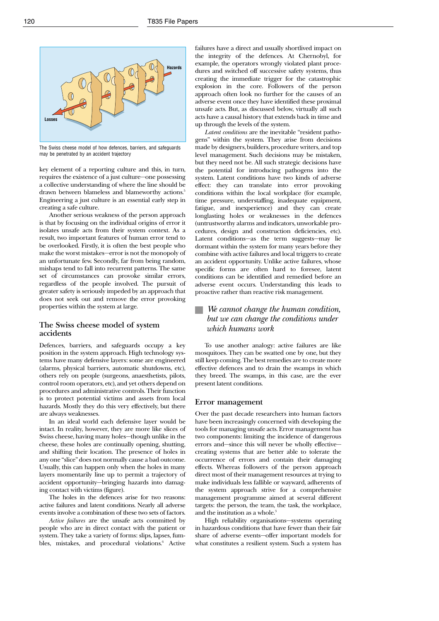

The Swiss cheese model of how defences, barriers, and safeguards may be penetrated by an accident trajectory

key element of a reporting culture and this, in turn, requires the existence of a just culture—one possessing a collective understanding of where the line should be drawn between blameless and blameworthy actions.<sup>5</sup> Engineering a just culture is an essential early step in creating a safe culture.

Another serious weakness of the person approach is that by focusing on the individual origins of error it isolates unsafe acts from their system context. As a result, two important features of human error tend to be overlooked. Firstly, it is often the best people who make the worst mistakes—error is not the monopoly of an unfortunate few. Secondly, far from being random, mishaps tend to fall into recurrent patterns. The same set of circumstances can provoke similar errors, regardless of the people involved. The pursuit of greater safety is seriously impeded by an approach that does not seek out and remove the error provoking properties within the system at large.

#### **The Swiss cheese model of system accidents**

Defences, barriers, and safeguards occupy a key position in the system approach. High technology systems have many defensive layers: some are engineered (alarms, physical barriers, automatic shutdowns, etc), others rely on people (surgeons, anaesthetists, pilots, control room operators, etc), and yet others depend on procedures and administrative controls. Their function is to protect potential victims and assets from local hazards. Mostly they do this very effectively, but there are always weaknesses.

In an ideal world each defensive layer would be intact. In reality, however, they are more like slices of Swiss cheese, having many holes—though unlike in the cheese, these holes are continually opening, shutting, and shifting their location. The presence of holes in any one "slice" does not normally cause a bad outcome. Usually, this can happen only when the holes in many layers momentarily line up to permit a trajectory of accident opportunity—bringing hazards into damaging contact with victims (figure).

The holes in the defences arise for two reasons: active failures and latent conditions. Nearly all adverse events involve a combination of these two sets of factors.

*Active failures* are the unsafe acts committed by people who are in direct contact with the patient or system. They take a variety of forms: slips, lapses, fumbles, mistakes, and procedural violations.<sup>6</sup> Active

failures have a direct and usually shortlived impact on the integrity of the defences. At Chernobyl, for example, the operators wrongly violated plant procedures and switched off successive safety systems, thus creating the immediate trigger for the catastrophic explosion in the core. Followers of the person approach often look no further for the causes of an adverse event once they have identified these proximal unsafe acts. But, as discussed below, virtually all such acts have a causal history that extends back in time and up through the levels of the system.

*Latent conditions* are the inevitable "resident pathogens" within the system. They arise from decisions made by designers, builders, procedure writers, and top level management. Such decisions may be mistaken, but they need not be. All such strategic decisions have the potential for introducing pathogens into the system. Latent conditions have two kinds of adverse effect: they can translate into error provoking conditions within the local workplace (for example, time pressure, understaffing, inadequate equipment, fatigue, and inexperience) and they can create longlasting holes or weaknesses in the defences (untrustworthy alarms and indicators, unworkable procedures, design and construction deficiencies, etc). Latent conditions—as the term suggests—may lie dormant within the system for many years before they combine with active failures and local triggers to create an accident opportunity. Unlike active failures, whose specific forms are often hard to foresee, latent conditions can be identified and remedied before an adverse event occurs. Understanding this leads to proactive rather than reactive risk management.

## *We cannot change the human condition, but we can change the conditions under which humans work*

To use another analogy: active failures are like mosquitoes. They can be swatted one by one, but they still keep coming. The best remedies are to create more effective defences and to drain the swamps in which they breed. The swamps, in this case, are the ever present latent conditions.

#### **Error management**

Over the past decade researchers into human factors have been increasingly concerned with developing the tools for managing unsafe acts. Error management has two components: limiting the incidence of dangerous errors and—since this will never be wholly effective creating systems that are better able to tolerate the occurrence of errors and contain their damaging effects. Whereas followers of the person approach direct most of their management resources at trying to make individuals less fallible or wayward, adherents of the system approach strive for a comprehensive management programme aimed at several different targets: the person, the team, the task, the workplace, and the institution as a whole.<sup>3</sup>

High reliability organisations—systems operating in hazardous conditions that have fewer than their fair share of adverse events—offer important models for what constitutes a resilient system. Such a system has